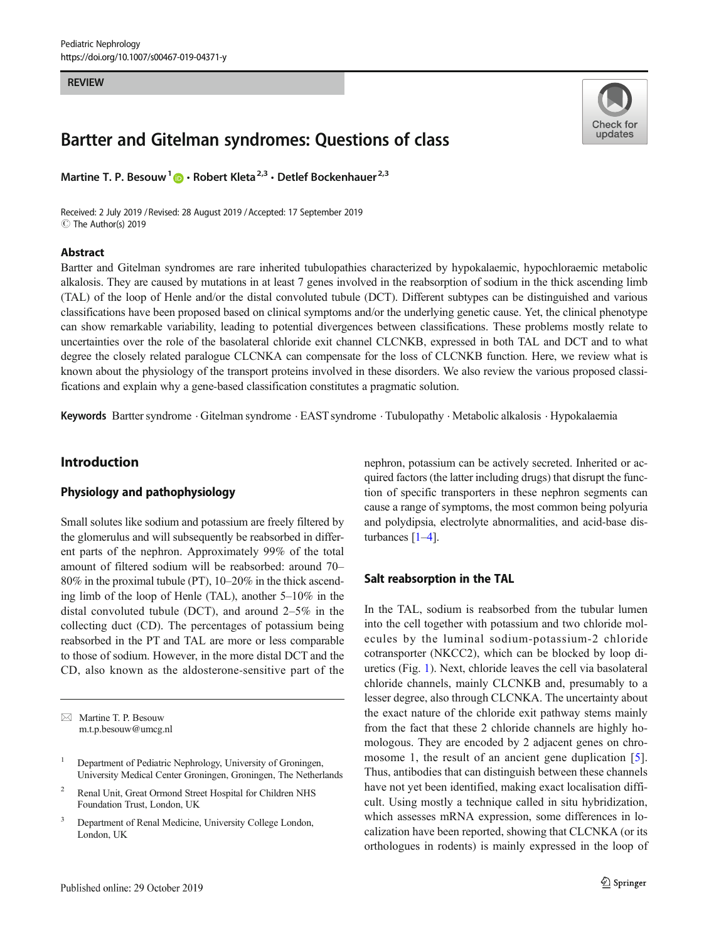#### **REVIEW**

# Bartter and Gitelman syndromes: Questions of class

Martine T. P. Besouw<sup>1</sup> **D** · Robert Kleta<sup>2,3</sup> · Detlef Bockenhauer<sup>2,3</sup>

Received: 2 July 2019 / Revised: 28 August 2019 /Accepted: 17 September 2019 C The Author(s) 2019

#### Abstract



Bartter and Gitelman syndromes are rare inherited tubulopathies characterized by hypokalaemic, hypochloraemic metabolic alkalosis. They are caused by mutations in at least 7 genes involved in the reabsorption of sodium in the thick ascending limb (TAL) of the loop of Henle and/or the distal convoluted tubule (DCT). Different subtypes can be distinguished and various classifications have been proposed based on clinical symptoms and/or the underlying genetic cause. Yet, the clinical phenotype can show remarkable variability, leading to potential divergences between classifications. These problems mostly relate to uncertainties over the role of the basolateral chloride exit channel CLCNKB, expressed in both TAL and DCT and to what degree the closely related paralogue CLCNKA can compensate for the loss of CLCNKB function. Here, we review what is known about the physiology of the transport proteins involved in these disorders. We also review the various proposed classifications and explain why a gene-based classification constitutes a pragmatic solution.

Keywords Bartter syndrome . Gitelman syndrome . EAST syndrome . Tubulopathy . Metabolic alkalosis . Hypokalaemia

## Introduction

## Physiology and pathophysiology

Small solutes like sodium and potassium are freely filtered by the glomerulus and will subsequently be reabsorbed in different parts of the nephron. Approximately 99% of the total amount of filtered sodium will be reabsorbed: around 70– 80% in the proximal tubule (PT), 10–20% in the thick ascending limb of the loop of Henle (TAL), another 5–10% in the distal convoluted tubule (DCT), and around 2–5% in the collecting duct (CD). The percentages of potassium being reabsorbed in the PT and TAL are more or less comparable to those of sodium. However, in the more distal DCT and the CD, also known as the aldosterone-sensitive part of the

 $\boxtimes$  Martine T. P. Besouw [m.t.p.besouw@umcg.nl](mailto:m.t.p.besouw@umcg.nl)

- <sup>2</sup> Renal Unit, Great Ormond Street Hospital for Children NHS Foundation Trust, London, UK
- Department of Renal Medicine, University College London, London, UK

nephron, potassium can be actively secreted. Inherited or acquired factors (the latter including drugs) that disrupt the function of specific transporters in these nephron segments can cause a range of symptoms, the most common being polyuria and polydipsia, electrolyte abnormalities, and acid-base disturbances [[1](#page-7-0)–[4\]](#page-7-0).

### Salt reabsorption in the TAL

In the TAL, sodium is reabsorbed from the tubular lumen into the cell together with potassium and two chloride molecules by the luminal sodium-potassium-2 chloride cotransporter (NKCC2), which can be blocked by loop diuretics (Fig. [1](#page-1-0)). Next, chloride leaves the cell via basolateral chloride channels, mainly CLCNKB and, presumably to a lesser degree, also through CLCNKA. The uncertainty about the exact nature of the chloride exit pathway stems mainly from the fact that these 2 chloride channels are highly homologous. They are encoded by 2 adjacent genes on chro-mosome 1, the result of an ancient gene duplication [\[5](#page-7-0)]. Thus, antibodies that can distinguish between these channels have not yet been identified, making exact localisation difficult. Using mostly a technique called in situ hybridization, which assesses mRNA expression, some differences in localization have been reported, showing that CLCNKA (or its orthologues in rodents) is mainly expressed in the loop of

<sup>&</sup>lt;sup>1</sup> Department of Pediatric Nephrology, University of Groningen, University Medical Center Groningen, Groningen, The Netherlands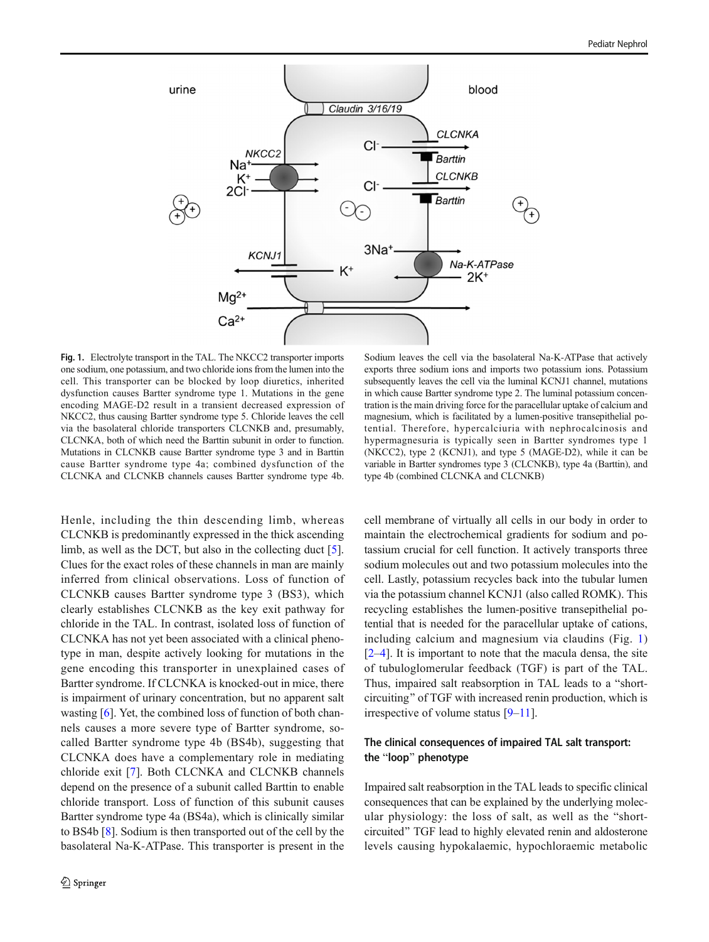<span id="page-1-0"></span>

Fig. 1. Electrolyte transport in the TAL. The NKCC2 transporter imports one sodium, one potassium, and two chloride ions from the lumen into the cell. This transporter can be blocked by loop diuretics, inherited dysfunction causes Bartter syndrome type 1. Mutations in the gene encoding MAGE-D2 result in a transient decreased expression of NKCC2, thus causing Bartter syndrome type 5. Chloride leaves the cell via the basolateral chloride transporters CLCNKB and, presumably, CLCNKA, both of which need the Barttin subunit in order to function. Mutations in CLCNKB cause Bartter syndrome type 3 and in Barttin cause Bartter syndrome type 4a; combined dysfunction of the CLCNKA and CLCNKB channels causes Bartter syndrome type 4b.

Henle, including the thin descending limb, whereas CLCNKB is predominantly expressed in the thick ascending limb, as well as the DCT, but also in the collecting duct [\[5](#page-7-0)]. Clues for the exact roles of these channels in man are mainly inferred from clinical observations. Loss of function of CLCNKB causes Bartter syndrome type 3 (BS3), which clearly establishes CLCNKB as the key exit pathway for chloride in the TAL. In contrast, isolated loss of function of CLCNKA has not yet been associated with a clinical phenotype in man, despite actively looking for mutations in the gene encoding this transporter in unexplained cases of Bartter syndrome. If CLCNKA is knocked-out in mice, there is impairment of urinary concentration, but no apparent salt wasting [\[6](#page-7-0)]. Yet, the combined loss of function of both channels causes a more severe type of Bartter syndrome, socalled Bartter syndrome type 4b (BS4b), suggesting that CLCNKA does have a complementary role in mediating chloride exit [\[7](#page-7-0)]. Both CLCNKA and CLCNKB channels depend on the presence of a subunit called Barttin to enable chloride transport. Loss of function of this subunit causes Bartter syndrome type 4a (BS4a), which is clinically similar to BS4b [\[8](#page-7-0)]. Sodium is then transported out of the cell by the basolateral Na-K-ATPase. This transporter is present in the

Sodium leaves the cell via the basolateral Na-K-ATPase that actively exports three sodium ions and imports two potassium ions. Potassium subsequently leaves the cell via the luminal KCNJ1 channel, mutations in which cause Bartter syndrome type 2. The luminal potassium concentration is the main driving force for the paracellular uptake of calcium and magnesium, which is facilitated by a lumen-positive transepithelial potential. Therefore, hypercalciuria with nephrocalcinosis and hypermagnesuria is typically seen in Bartter syndromes type 1 (NKCC2), type 2 (KCNJ1), and type 5 (MAGE-D2), while it can be variable in Bartter syndromes type 3 (CLCNKB), type 4a (Barttin), and type 4b (combined CLCNKA and CLCNKB)

cell membrane of virtually all cells in our body in order to maintain the electrochemical gradients for sodium and potassium crucial for cell function. It actively transports three sodium molecules out and two potassium molecules into the cell. Lastly, potassium recycles back into the tubular lumen via the potassium channel KCNJ1 (also called ROMK). This recycling establishes the lumen-positive transepithelial potential that is needed for the paracellular uptake of cations, including calcium and magnesium via claudins (Fig. 1)  $[2-4]$  $[2-4]$  $[2-4]$  $[2-4]$ . It is important to note that the macula densa, the site of tubuloglomerular feedback (TGF) is part of the TAL. Thus, impaired salt reabsorption in TAL leads to a "shortcircuiting" of TGF with increased renin production, which is irrespective of volume status [\[9](#page-8-0)–[11](#page-8-0)].

## The clinical consequences of impaired TAL salt transport: the "loop" phenotype

Impaired salt reabsorption in the TAL leads to specific clinical consequences that can be explained by the underlying molecular physiology: the loss of salt, as well as the "shortcircuited" TGF lead to highly elevated renin and aldosterone levels causing hypokalaemic, hypochloraemic metabolic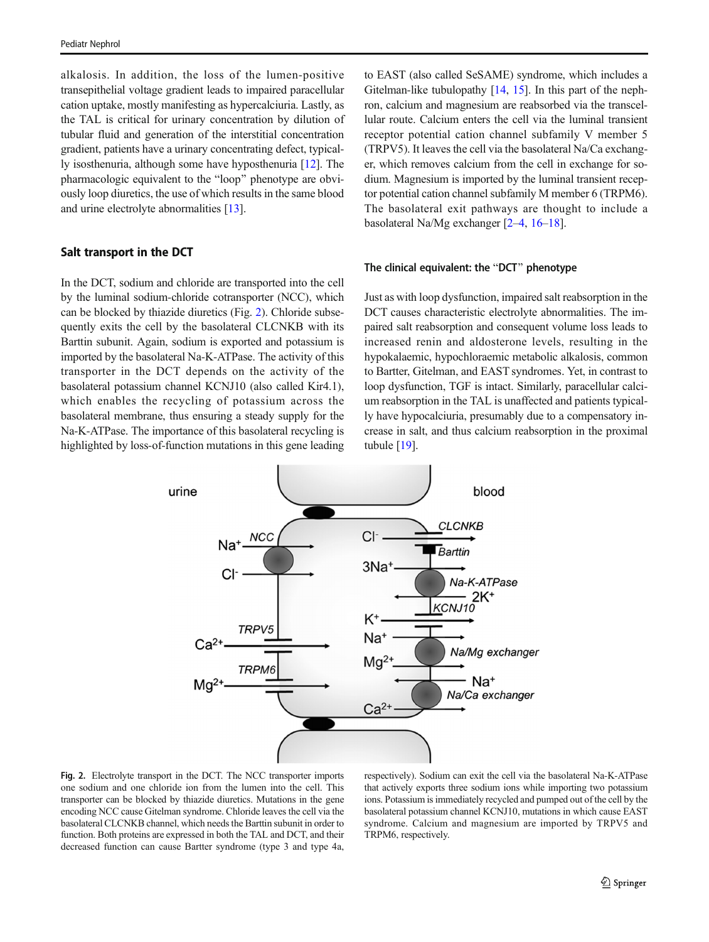alkalosis. In addition, the loss of the lumen-positive transepithelial voltage gradient leads to impaired paracellular cation uptake, mostly manifesting as hypercalciuria. Lastly, as the TAL is critical for urinary concentration by dilution of tubular fluid and generation of the interstitial concentration gradient, patients have a urinary concentrating defect, typically isosthenuria, although some have hyposthenuria [[12](#page-8-0)]. The pharmacologic equivalent to the "loop" phenotype are obviously loop diuretics, the use of which results in the same blood and urine electrolyte abnormalities [[13](#page-8-0)].

## Salt transport in the DCT

In the DCT, sodium and chloride are transported into the cell by the luminal sodium-chloride cotransporter (NCC), which can be blocked by thiazide diuretics (Fig. 2). Chloride subsequently exits the cell by the basolateral CLCNKB with its Barttin subunit. Again, sodium is exported and potassium is imported by the basolateral Na-K-ATPase. The activity of this transporter in the DCT depends on the activity of the basolateral potassium channel KCNJ10 (also called Kir4.1), which enables the recycling of potassium across the basolateral membrane, thus ensuring a steady supply for the Na-K-ATPase. The importance of this basolateral recycling is highlighted by loss-of-function mutations in this gene leading

to EAST (also called SeSAME) syndrome, which includes a Gitelman-like tubulopathy [\[14](#page-8-0), [15\]](#page-8-0). In this part of the nephron, calcium and magnesium are reabsorbed via the transcellular route. Calcium enters the cell via the luminal transient receptor potential cation channel subfamily V member 5 (TRPV5). It leaves the cell via the basolateral Na/Ca exchanger, which removes calcium from the cell in exchange for sodium. Magnesium is imported by the luminal transient receptor potential cation channel subfamily M member 6 (TRPM6). The basolateral exit pathways are thought to include a basolateral Na/Mg exchanger [\[2](#page-7-0)–[4,](#page-7-0) [16](#page-8-0)–[18](#page-8-0)].

#### The clinical equivalent: the "DCT" phenotype

Just as with loop dysfunction, impaired salt reabsorption in the DCT causes characteristic electrolyte abnormalities. The impaired salt reabsorption and consequent volume loss leads to increased renin and aldosterone levels, resulting in the hypokalaemic, hypochloraemic metabolic alkalosis, common to Bartter, Gitelman, and EAST syndromes. Yet, in contrast to loop dysfunction, TGF is intact. Similarly, paracellular calcium reabsorption in the TAL is unaffected and patients typically have hypocalciuria, presumably due to a compensatory increase in salt, and thus calcium reabsorption in the proximal tubule [\[19\]](#page-8-0).



Fig. 2. Electrolyte transport in the DCT. The NCC transporter imports one sodium and one chloride ion from the lumen into the cell. This transporter can be blocked by thiazide diuretics. Mutations in the gene encoding NCC cause Gitelman syndrome. Chloride leaves the cell via the basolateral CLCNKB channel, which needs the Barttin subunit in order to function. Both proteins are expressed in both the TAL and DCT, and their decreased function can cause Bartter syndrome (type 3 and type 4a,

respectively). Sodium can exit the cell via the basolateral Na-K-ATPase that actively exports three sodium ions while importing two potassium ions. Potassium is immediately recycled and pumped out of the cell by the basolateral potassium channel KCNJ10, mutations in which cause EAST syndrome. Calcium and magnesium are imported by TRPV5 and TRPM6, respectively.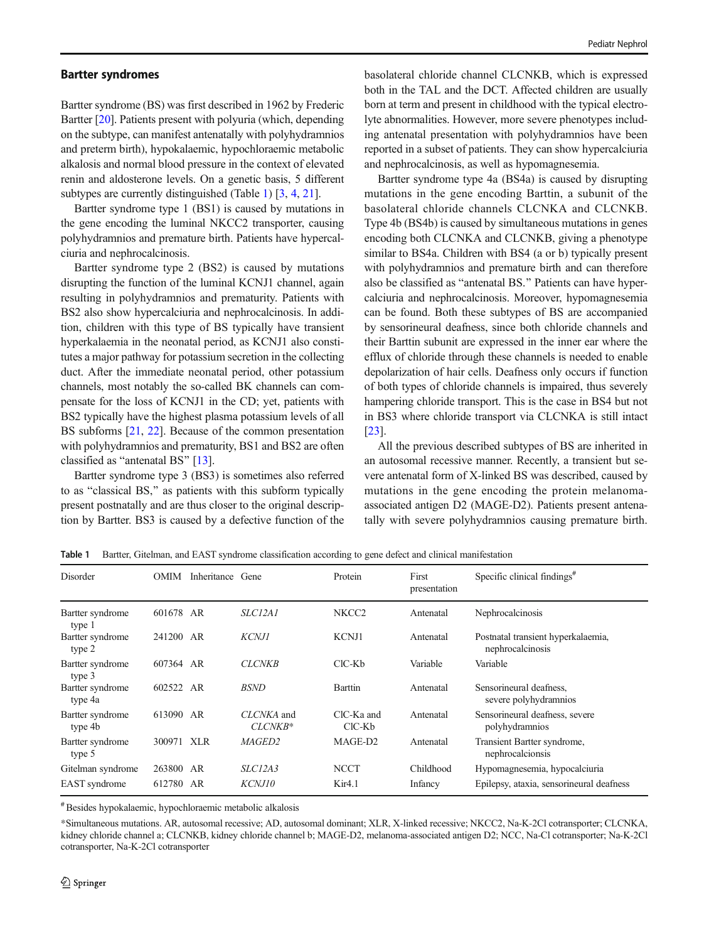<span id="page-3-0"></span>Bartter syndrome (BS) was first described in 1962 by Frederic Bartter [\[20\]](#page-8-0). Patients present with polyuria (which, depending on the subtype, can manifest antenatally with polyhydramnios and preterm birth), hypokalaemic, hypochloraemic metabolic alkalosis and normal blood pressure in the context of elevated renin and aldosterone levels. On a genetic basis, 5 different subtypes are currently distinguished (Table 1) [[3](#page-7-0), [4](#page-7-0), [21](#page-8-0)].

Bartter syndrome type 1 (BS1) is caused by mutations in the gene encoding the luminal NKCC2 transporter, causing polyhydramnios and premature birth. Patients have hypercalciuria and nephrocalcinosis.

Bartter syndrome type 2 (BS2) is caused by mutations disrupting the function of the luminal KCNJ1 channel, again resulting in polyhydramnios and prematurity. Patients with BS2 also show hypercalciuria and nephrocalcinosis. In addition, children with this type of BS typically have transient hyperkalaemia in the neonatal period, as KCNJ1 also constitutes a major pathway for potassium secretion in the collecting duct. After the immediate neonatal period, other potassium channels, most notably the so-called BK channels can compensate for the loss of KCNJ1 in the CD; yet, patients with BS2 typically have the highest plasma potassium levels of all BS subforms [[21](#page-8-0), [22\]](#page-8-0). Because of the common presentation with polyhydramnios and prematurity, BS1 and BS2 are often classified as "antenatal BS"  $[13]$ .

Bartter syndrome type 3 (BS3) is sometimes also referred to as "classical BS," as patients with this subform typically present postnatally and are thus closer to the original description by Bartter. BS3 is caused by a defective function of the

basolateral chloride channel CLCNKB, which is expressed both in the TAL and the DCT. Affected children are usually born at term and present in childhood with the typical electrolyte abnormalities. However, more severe phenotypes including antenatal presentation with polyhydramnios have been reported in a subset of patients. They can show hypercalciuria and nephrocalcinosis, as well as hypomagnesemia.

Bartter syndrome type 4a (BS4a) is caused by disrupting mutations in the gene encoding Barttin, a subunit of the basolateral chloride channels CLCNKA and CLCNKB. Type 4b (BS4b) is caused by simultaneous mutations in genes encoding both CLCNKA and CLCNKB, giving a phenotype similar to BS4a. Children with BS4 (a or b) typically present with polyhydramnios and premature birth and can therefore also be classified as "antenatal BS." Patients can have hypercalciuria and nephrocalcinosis. Moreover, hypomagnesemia can be found. Both these subtypes of BS are accompanied by sensorineural deafness, since both chloride channels and their Barttin subunit are expressed in the inner ear where the efflux of chloride through these channels is needed to enable depolarization of hair cells. Deafness only occurs if function of both types of chloride channels is impaired, thus severely hampering chloride transport. This is the case in BS4 but not in BS3 where chloride transport via CLCNKA is still intact [\[23](#page-8-0)].

All the previous described subtypes of BS are inherited in an autosomal recessive manner. Recently, a transient but severe antenatal form of X-linked BS was described, caused by mutations in the gene encoding the protein melanomaassociated antigen D2 (MAGE-D2). Patients present antenatally with severe polyhydramnios causing premature birth.

Table 1 Bartter, Gitelman, and EAST syndrome classification according to gene defect and clinical manifestation

| Disorder                    | OMIM      | Inheritance | Gene                  | Protein              | First<br>presentation | Specific clinical findings <sup>#</sup>                |
|-----------------------------|-----------|-------------|-----------------------|----------------------|-----------------------|--------------------------------------------------------|
| Bartter syndrome<br>type 1  | 601678 AR |             | <i>SLC12A1</i>        | NKCC <sub>2</sub>    | Antenatal             | Nephrocalcinosis                                       |
| Bartter syndrome<br>type 2  | 241200 AR |             | <b>KCNJ1</b>          | <b>KCNJ1</b>         | Antenatal             | Postnatal transient hyperkalaemia,<br>nephrocalcinosis |
| Bartter syndrome<br>type 3  | 607364 AR |             | <b>CLCNKB</b>         | $ClC-Kb$             | Variable              | Variable                                               |
| Bartter syndrome<br>type 4a | 602522    | AR          | <b>BSND</b>           | Barttin              | Antenatal             | Sensorineural deafness,<br>severe polyhydramnios       |
| Bartter syndrome<br>type 4b | 613090 AR |             | CLCNKA and<br>CLCNKB* | ClC-Ka and<br>ClC-Kb | Antenatal             | Sensorineural deafness, severe<br>polyhydramnios       |
| Bartter syndrome<br>type 5  | 300971    | <b>XLR</b>  | MAGED2                | MAGE-D2              | Antenatal             | Transient Bartter syndrome,<br>nephrocalcionsis        |
| Gitelman syndrome           | 263800    | AR          | SLCI2A3               | <b>NCCT</b>          | Childhood             | Hypomagnesemia, hypocalciuria                          |
| EAST syndrome               | 612780    | AR          | KCNJ10                | Kir4.1               | Infancy               | Epilepsy, ataxia, sensorineural deafness               |

#Besides hypokalaemic, hypochloraemic metabolic alkalosis

\*Simultaneous mutations. AR, autosomal recessive; AD, autosomal dominant; XLR, X-linked recessive; NKCC2, Na-K-2Cl cotransporter; CLCNKA, kidney chloride channel a; CLCNKB, kidney chloride channel b; MAGE-D2, melanoma-associated antigen D2; NCC, Na-Cl cotransporter; Na-K-2Cl cotransporter, Na-K-2Cl cotransporter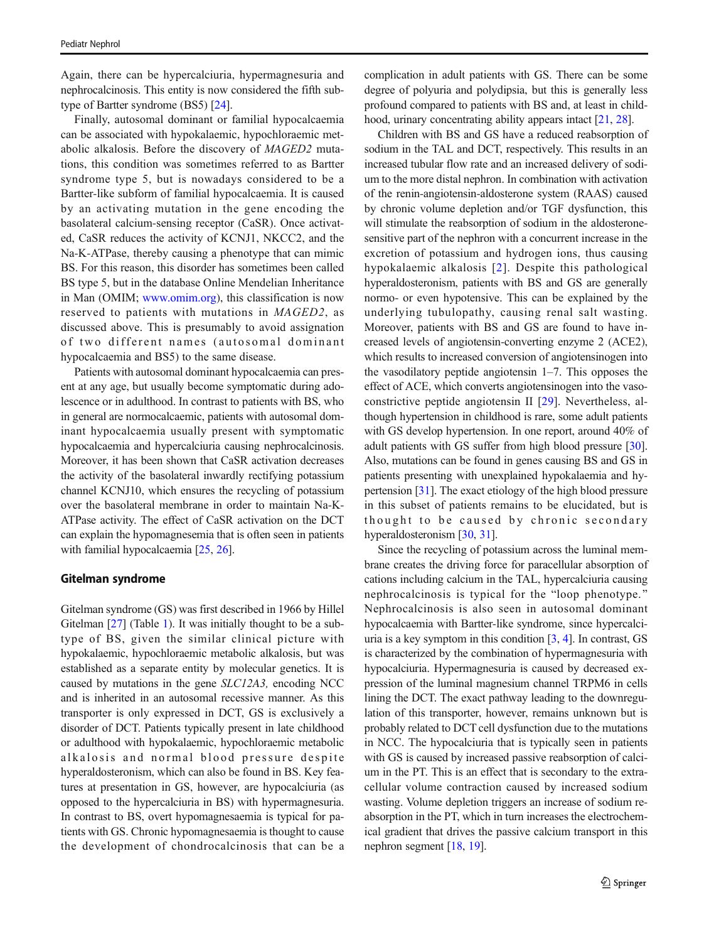Again, there can be hypercalciuria, hypermagnesuria and nephrocalcinosis. This entity is now considered the fifth subtype of Bartter syndrome (BS5) [\[24\]](#page-8-0).

Finally, autosomal dominant or familial hypocalcaemia can be associated with hypokalaemic, hypochloraemic metabolic alkalosis. Before the discovery of MAGED2 mutations, this condition was sometimes referred to as Bartter syndrome type 5, but is nowadays considered to be a Bartter-like subform of familial hypocalcaemia. It is caused by an activating mutation in the gene encoding the basolateral calcium-sensing receptor (CaSR). Once activated, CaSR reduces the activity of KCNJ1, NKCC2, and the Na-K-ATPase, thereby causing a phenotype that can mimic BS. For this reason, this disorder has sometimes been called BS type 5, but in the database Online Mendelian Inheritance in Man (OMIM; [www.omim.org\)](http://www.omim.org), this classification is now reserved to patients with mutations in MAGED2, as discussed above. This is presumably to avoid assignation of two different names (autosomal dominant hypocalcaemia and BS5) to the same disease.

Patients with autosomal dominant hypocalcaemia can present at any age, but usually become symptomatic during adolescence or in adulthood. In contrast to patients with BS, who in general are normocalcaemic, patients with autosomal dominant hypocalcaemia usually present with symptomatic hypocalcaemia and hypercalciuria causing nephrocalcinosis. Moreover, it has been shown that CaSR activation decreases the activity of the basolateral inwardly rectifying potassium channel KCNJ10, which ensures the recycling of potassium over the basolateral membrane in order to maintain Na-K-ATPase activity. The effect of CaSR activation on the DCT can explain the hypomagnesemia that is often seen in patients with familial hypocalcaemia [\[25,](#page-8-0) [26\]](#page-8-0).

#### Gitelman syndrome

Gitelman syndrome (GS) was first described in 1966 by Hillel Gitelman [\[27\]](#page-8-0) (Table [1](#page-3-0)). It was initially thought to be a subtype of BS, given the similar clinical picture with hypokalaemic, hypochloraemic metabolic alkalosis, but was established as a separate entity by molecular genetics. It is caused by mutations in the gene SLC12A3, encoding NCC and is inherited in an autosomal recessive manner. As this transporter is only expressed in DCT, GS is exclusively a disorder of DCT. Patients typically present in late childhood or adulthood with hypokalaemic, hypochloraemic metabolic alkalosis and normal blood pressure despite hyperaldosteronism, which can also be found in BS. Key features at presentation in GS, however, are hypocalciuria (as opposed to the hypercalciuria in BS) with hypermagnesuria. In contrast to BS, overt hypomagnesaemia is typical for patients with GS. Chronic hypomagnesaemia is thought to cause the development of chondrocalcinosis that can be a complication in adult patients with GS. There can be some degree of polyuria and polydipsia, but this is generally less profound compared to patients with BS and, at least in child-hood, urinary concentrating ability appears intact [[21,](#page-8-0) [28](#page-8-0)].

Children with BS and GS have a reduced reabsorption of sodium in the TAL and DCT, respectively. This results in an increased tubular flow rate and an increased delivery of sodium to the more distal nephron. In combination with activation of the renin-angiotensin-aldosterone system (RAAS) caused by chronic volume depletion and/or TGF dysfunction, this will stimulate the reabsorption of sodium in the aldosteronesensitive part of the nephron with a concurrent increase in the excretion of potassium and hydrogen ions, thus causing hypokalaemic alkalosis [[2\]](#page-7-0). Despite this pathological hyperaldosteronism, patients with BS and GS are generally normo- or even hypotensive. This can be explained by the underlying tubulopathy, causing renal salt wasting. Moreover, patients with BS and GS are found to have increased levels of angiotensin-converting enzyme 2 (ACE2), which results to increased conversion of angiotensinogen into the vasodilatory peptide angiotensin 1–7. This opposes the effect of ACE, which converts angiotensinogen into the vasoconstrictive peptide angiotensin II [\[29](#page-8-0)]. Nevertheless, although hypertension in childhood is rare, some adult patients with GS develop hypertension. In one report, around 40% of adult patients with GS suffer from high blood pressure [[30\]](#page-8-0). Also, mutations can be found in genes causing BS and GS in patients presenting with unexplained hypokalaemia and hypertension [[31\]](#page-8-0). The exact etiology of the high blood pressure in this subset of patients remains to be elucidated, but is thought to be caused by chronic secondary hyperaldosteronism [\[30,](#page-8-0) [31\]](#page-8-0).

Since the recycling of potassium across the luminal membrane creates the driving force for paracellular absorption of cations including calcium in the TAL, hypercalciuria causing nephrocalcinosis is typical for the "loop phenotype." Nephrocalcinosis is also seen in autosomal dominant hypocalcaemia with Bartter-like syndrome, since hypercalciuria is a key symptom in this condition [\[3,](#page-7-0) [4\]](#page-7-0). In contrast, GS is characterized by the combination of hypermagnesuria with hypocalciuria. Hypermagnesuria is caused by decreased expression of the luminal magnesium channel TRPM6 in cells lining the DCT. The exact pathway leading to the downregulation of this transporter, however, remains unknown but is probably related to DCT cell dysfunction due to the mutations in NCC. The hypocalciuria that is typically seen in patients with GS is caused by increased passive reabsorption of calcium in the PT. This is an effect that is secondary to the extracellular volume contraction caused by increased sodium wasting. Volume depletion triggers an increase of sodium reabsorption in the PT, which in turn increases the electrochemical gradient that drives the passive calcium transport in this nephron segment [[18,](#page-8-0) [19](#page-8-0)].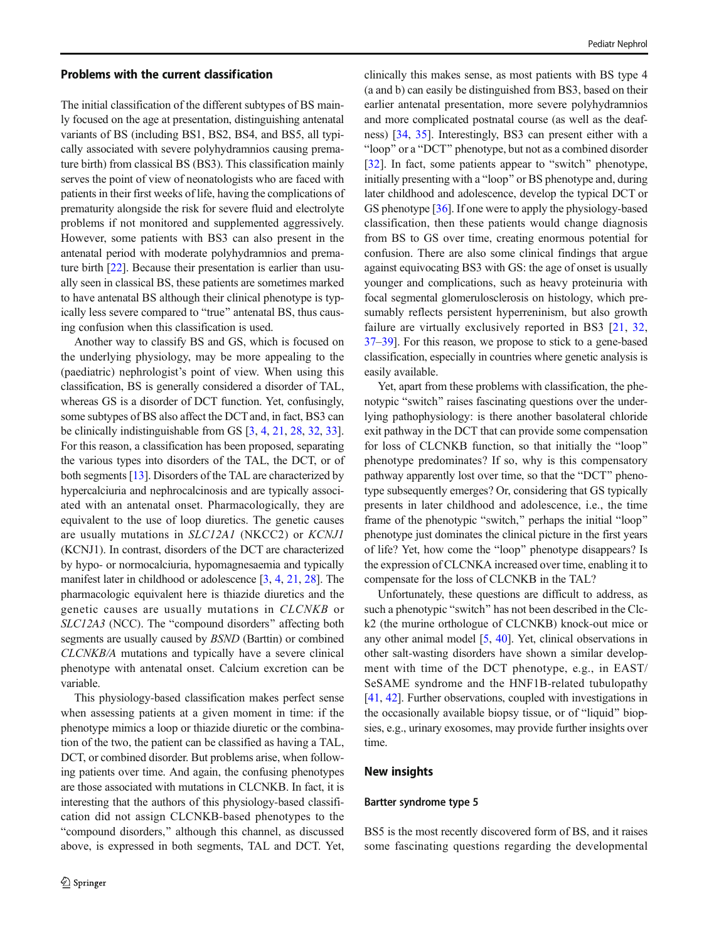#### Problems with the current classification

The initial classification of the different subtypes of BS mainly focused on the age at presentation, distinguishing antenatal variants of BS (including BS1, BS2, BS4, and BS5, all typically associated with severe polyhydramnios causing premature birth) from classical BS (BS3). This classification mainly serves the point of view of neonatologists who are faced with patients in their first weeks of life, having the complications of prematurity alongside the risk for severe fluid and electrolyte problems if not monitored and supplemented aggressively. However, some patients with BS3 can also present in the antenatal period with moderate polyhydramnios and premature birth [[22\]](#page-8-0). Because their presentation is earlier than usually seen in classical BS, these patients are sometimes marked to have antenatal BS although their clinical phenotype is typically less severe compared to "true" antenatal BS, thus causing confusion when this classification is used.

Another way to classify BS and GS, which is focused on the underlying physiology, may be more appealing to the (paediatric) nephrologist's point of view. When using this classification, BS is generally considered a disorder of TAL, whereas GS is a disorder of DCT function. Yet, confusingly, some subtypes of BS also affect the DCT and, in fact, BS3 can be clinically indistinguishable from GS [\[3](#page-7-0), [4](#page-7-0), [21](#page-8-0), [28,](#page-8-0) [32,](#page-8-0) [33\]](#page-8-0). For this reason, a classification has been proposed, separating the various types into disorders of the TAL, the DCT, or of both segments [[13](#page-8-0)]. Disorders of the TAL are characterized by hypercalciuria and nephrocalcinosis and are typically associated with an antenatal onset. Pharmacologically, they are equivalent to the use of loop diuretics. The genetic causes are usually mutations in SLC12A1 (NKCC2) or KCNJ1 (KCNJ1). In contrast, disorders of the DCT are characterized by hypo- or normocalciuria, hypomagnesaemia and typically manifest later in childhood or adolescence [\[3](#page-7-0), [4](#page-7-0), [21,](#page-8-0) [28\]](#page-8-0). The pharmacologic equivalent here is thiazide diuretics and the genetic causes are usually mutations in CLCNKB or  $SLC12A3$  (NCC). The "compound disorders" affecting both segments are usually caused by BSND (Barttin) or combined CLCNKB/A mutations and typically have a severe clinical phenotype with antenatal onset. Calcium excretion can be variable.

This physiology-based classification makes perfect sense when assessing patients at a given moment in time: if the phenotype mimics a loop or thiazide diuretic or the combination of the two, the patient can be classified as having a TAL, DCT, or combined disorder. But problems arise, when following patients over time. And again, the confusing phenotypes are those associated with mutations in CLCNKB. In fact, it is interesting that the authors of this physiology-based classification did not assign CLCNKB-based phenotypes to the "compound disorders," although this channel, as discussed above, is expressed in both segments, TAL and DCT. Yet, clinically this makes sense, as most patients with BS type 4 (a and b) can easily be distinguished from BS3, based on their earlier antenatal presentation, more severe polyhydramnios and more complicated postnatal course (as well as the deafness) [\[34,](#page-8-0) [35](#page-8-0)]. Interestingly, BS3 can present either with a "loop" or a "DCT" phenotype, but not as a combined disorder [\[32](#page-8-0)]. In fact, some patients appear to "switch" phenotype, initially presenting with a "loop" or BS phenotype and, during later childhood and adolescence, develop the typical DCT or GS phenotype [\[36](#page-9-0)]. If one were to apply the physiology-based classification, then these patients would change diagnosis from BS to GS over time, creating enormous potential for confusion. There are also some clinical findings that argue against equivocating BS3 with GS: the age of onset is usually younger and complications, such as heavy proteinuria with focal segmental glomerulosclerosis on histology, which presumably reflects persistent hyperreninism, but also growth failure are virtually exclusively reported in BS3 [[21](#page-8-0), [32,](#page-8-0) [37](#page-9-0)–[39\]](#page-9-0). For this reason, we propose to stick to a gene-based classification, especially in countries where genetic analysis is easily available.

Yet, apart from these problems with classification, the phenotypic "switch" raises fascinating questions over the underlying pathophysiology: is there another basolateral chloride exit pathway in the DCT that can provide some compensation for loss of CLCNKB function, so that initially the "loop" phenotype predominates? If so, why is this compensatory pathway apparently lost over time, so that the "DCT" phenotype subsequently emerges? Or, considering that GS typically presents in later childhood and adolescence, i.e., the time frame of the phenotypic "switch," perhaps the initial "loop" phenotype just dominates the clinical picture in the first years of life? Yet, how come the "loop" phenotype disappears? Is the expression of CLCNKA increased over time, enabling it to compensate for the loss of CLCNKB in the TAL?

Unfortunately, these questions are difficult to address, as such a phenotypic "switch" has not been described in the Clck2 (the murine orthologue of CLCNKB) knock-out mice or any other animal model [\[5,](#page-7-0) [40](#page-9-0)]. Yet, clinical observations in other salt-wasting disorders have shown a similar development with time of the DCT phenotype, e.g., in EAST/ SeSAME syndrome and the HNF1B-related tubulopathy [\[41](#page-9-0), [42\]](#page-9-0). Further observations, coupled with investigations in the occasionally available biopsy tissue, or of "liquid" biopsies, e.g., urinary exosomes, may provide further insights over time.

#### New insights

#### Bartter syndrome type 5

BS5 is the most recently discovered form of BS, and it raises some fascinating questions regarding the developmental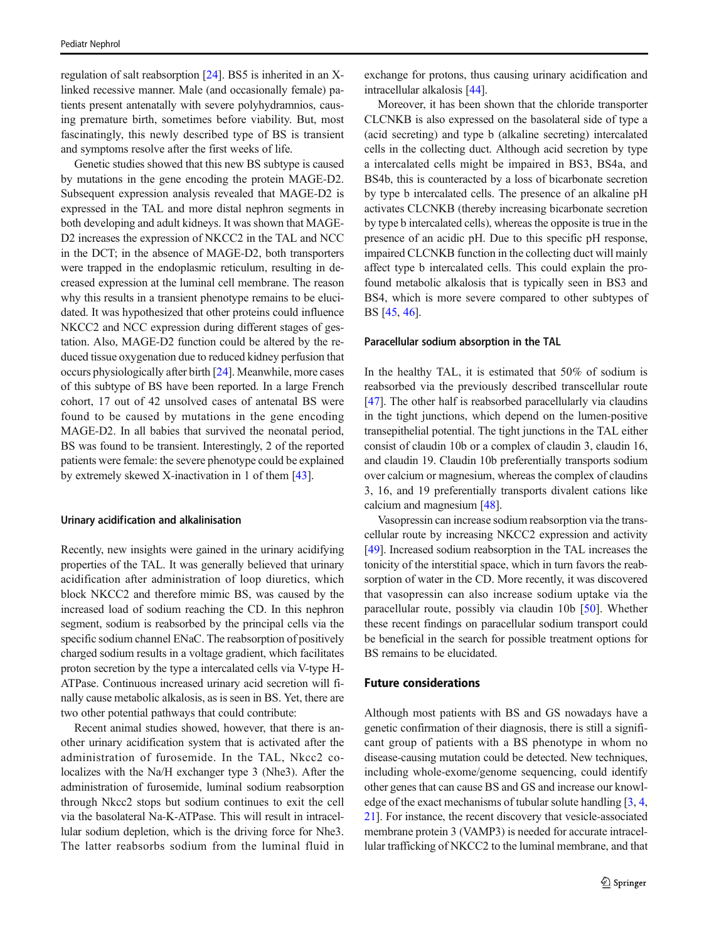regulation of salt reabsorption [\[24](#page-8-0)]. BS5 is inherited in an Xlinked recessive manner. Male (and occasionally female) patients present antenatally with severe polyhydramnios, causing premature birth, sometimes before viability. But, most fascinatingly, this newly described type of BS is transient and symptoms resolve after the first weeks of life.

Genetic studies showed that this new BS subtype is caused by mutations in the gene encoding the protein MAGE-D2. Subsequent expression analysis revealed that MAGE-D2 is expressed in the TAL and more distal nephron segments in both developing and adult kidneys. It was shown that MAGE-D2 increases the expression of NKCC2 in the TAL and NCC in the DCT; in the absence of MAGE-D2, both transporters were trapped in the endoplasmic reticulum, resulting in decreased expression at the luminal cell membrane. The reason why this results in a transient phenotype remains to be elucidated. It was hypothesized that other proteins could influence NKCC2 and NCC expression during different stages of gestation. Also, MAGE-D2 function could be altered by the reduced tissue oxygenation due to reduced kidney perfusion that occurs physiologically after birth [\[24\]](#page-8-0). Meanwhile, more cases of this subtype of BS have been reported. In a large French cohort, 17 out of 42 unsolved cases of antenatal BS were found to be caused by mutations in the gene encoding MAGE-D2. In all babies that survived the neonatal period, BS was found to be transient. Interestingly, 2 of the reported patients were female: the severe phenotype could be explained by extremely skewed X-inactivation in 1 of them [\[43](#page-9-0)].

#### Urinary acidification and alkalinisation

Recently, new insights were gained in the urinary acidifying properties of the TAL. It was generally believed that urinary acidification after administration of loop diuretics, which block NKCC2 and therefore mimic BS, was caused by the increased load of sodium reaching the CD. In this nephron segment, sodium is reabsorbed by the principal cells via the specific sodium channel ENaC. The reabsorption of positively charged sodium results in a voltage gradient, which facilitates proton secretion by the type a intercalated cells via V-type H-ATPase. Continuous increased urinary acid secretion will finally cause metabolic alkalosis, as is seen in BS. Yet, there are two other potential pathways that could contribute:

Recent animal studies showed, however, that there is another urinary acidification system that is activated after the administration of furosemide. In the TAL, Nkcc2 colocalizes with the Na/H exchanger type 3 (Nhe3). After the administration of furosemide, luminal sodium reabsorption through Nkcc2 stops but sodium continues to exit the cell via the basolateral Na-K-ATPase. This will result in intracellular sodium depletion, which is the driving force for Nhe3. The latter reabsorbs sodium from the luminal fluid in

exchange for protons, thus causing urinary acidification and intracellular alkalosis [\[44](#page-9-0)].

Moreover, it has been shown that the chloride transporter CLCNKB is also expressed on the basolateral side of type a (acid secreting) and type b (alkaline secreting) intercalated cells in the collecting duct. Although acid secretion by type a intercalated cells might be impaired in BS3, BS4a, and BS4b, this is counteracted by a loss of bicarbonate secretion by type b intercalated cells. The presence of an alkaline pH activates CLCNKB (thereby increasing bicarbonate secretion by type b intercalated cells), whereas the opposite is true in the presence of an acidic pH. Due to this specific pH response, impaired CLCNKB function in the collecting duct will mainly affect type b intercalated cells. This could explain the profound metabolic alkalosis that is typically seen in BS3 and BS4, which is more severe compared to other subtypes of BS [\[45,](#page-9-0) [46\]](#page-9-0).

#### Paracellular sodium absorption in the TAL

In the healthy TAL, it is estimated that 50% of sodium is reabsorbed via the previously described transcellular route [\[47](#page-9-0)]. The other half is reabsorbed paracellularly via claudins in the tight junctions, which depend on the lumen-positive transepithelial potential. The tight junctions in the TAL either consist of claudin 10b or a complex of claudin 3, claudin 16, and claudin 19. Claudin 10b preferentially transports sodium over calcium or magnesium, whereas the complex of claudins 3, 16, and 19 preferentially transports divalent cations like calcium and magnesium [[48](#page-9-0)].

Vasopressin can increase sodium reabsorption via the transcellular route by increasing NKCC2 expression and activity [\[49](#page-9-0)]. Increased sodium reabsorption in the TAL increases the tonicity of the interstitial space, which in turn favors the reabsorption of water in the CD. More recently, it was discovered that vasopressin can also increase sodium uptake via the paracellular route, possibly via claudin 10b [[50\]](#page-9-0). Whether these recent findings on paracellular sodium transport could be beneficial in the search for possible treatment options for BS remains to be elucidated.

## Future considerations

Although most patients with BS and GS nowadays have a genetic confirmation of their diagnosis, there is still a significant group of patients with a BS phenotype in whom no disease-causing mutation could be detected. New techniques, including whole-exome/genome sequencing, could identify other genes that can cause BS and GS and increase our knowledge of the exact mechanisms of tubular solute handling [\[3](#page-7-0), [4,](#page-7-0) [21\]](#page-8-0). For instance, the recent discovery that vesicle-associated membrane protein 3 (VAMP3) is needed for accurate intracellular trafficking of NKCC2 to the luminal membrane, and that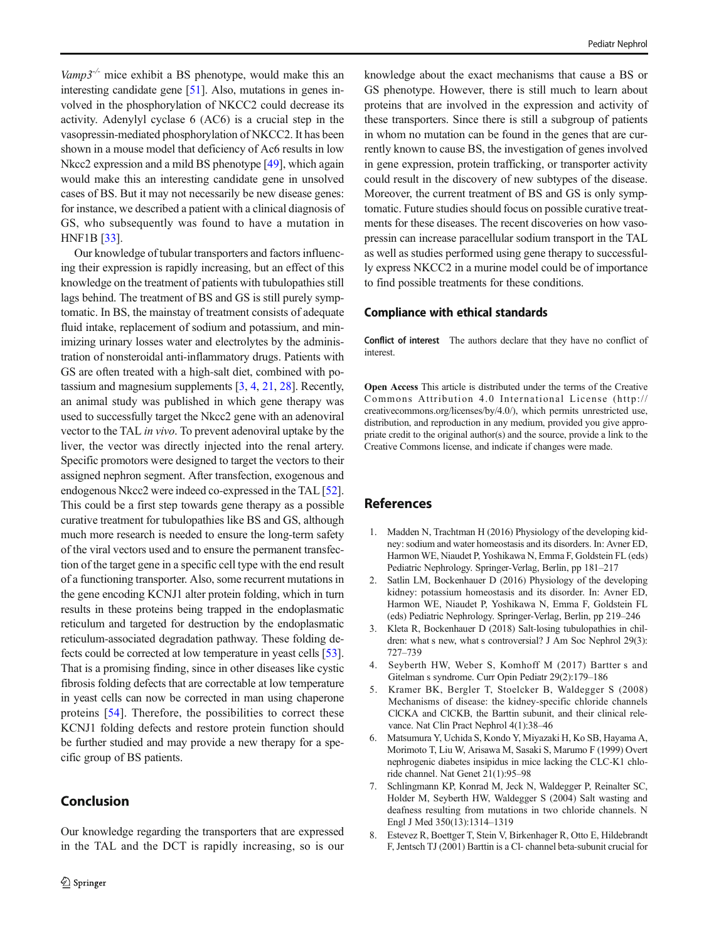<span id="page-7-0"></span>Vamp3<sup>-/-</sup> mice exhibit a BS phenotype, would make this an interesting candidate gene [\[51](#page-9-0)]. Also, mutations in genes involved in the phosphorylation of NKCC2 could decrease its activity. Adenylyl cyclase 6 (AC6) is a crucial step in the vasopressin-mediated phosphorylation of NKCC2. It has been shown in a mouse model that deficiency of Ac6 results in low Nkcc2 expression and a mild BS phenotype [[49](#page-9-0)], which again would make this an interesting candidate gene in unsolved cases of BS. But it may not necessarily be new disease genes: for instance, we described a patient with a clinical diagnosis of GS, who subsequently was found to have a mutation in HNF1B [[33\]](#page-8-0).

Our knowledge of tubular transporters and factors influencing their expression is rapidly increasing, but an effect of this knowledge on the treatment of patients with tubulopathies still lags behind. The treatment of BS and GS is still purely symptomatic. In BS, the mainstay of treatment consists of adequate fluid intake, replacement of sodium and potassium, and minimizing urinary losses water and electrolytes by the administration of nonsteroidal anti-inflammatory drugs. Patients with GS are often treated with a high-salt diet, combined with potassium and magnesium supplements [3, 4, [21](#page-8-0), [28\]](#page-8-0). Recently, an animal study was published in which gene therapy was used to successfully target the Nkcc2 gene with an adenoviral vector to the TAL in vivo. To prevent adenoviral uptake by the liver, the vector was directly injected into the renal artery. Specific promotors were designed to target the vectors to their assigned nephron segment. After transfection, exogenous and endogenous Nkcc2 were indeed co-expressed in the TAL [[52\]](#page-9-0). This could be a first step towards gene therapy as a possible curative treatment for tubulopathies like BS and GS, although much more research is needed to ensure the long-term safety of the viral vectors used and to ensure the permanent transfection of the target gene in a specific cell type with the end result of a functioning transporter. Also, some recurrent mutations in the gene encoding KCNJ1 alter protein folding, which in turn results in these proteins being trapped in the endoplasmatic reticulum and targeted for destruction by the endoplasmatic reticulum-associated degradation pathway. These folding defects could be corrected at low temperature in yeast cells [[53\]](#page-9-0). That is a promising finding, since in other diseases like cystic fibrosis folding defects that are correctable at low temperature in yeast cells can now be corrected in man using chaperone proteins [[54\]](#page-9-0). Therefore, the possibilities to correct these KCNJ1 folding defects and restore protein function should be further studied and may provide a new therapy for a specific group of BS patients.

## Conclusion

Our knowledge regarding the transporters that are expressed in the TAL and the DCT is rapidly increasing, so is our

knowledge about the exact mechanisms that cause a BS or GS phenotype. However, there is still much to learn about proteins that are involved in the expression and activity of these transporters. Since there is still a subgroup of patients in whom no mutation can be found in the genes that are currently known to cause BS, the investigation of genes involved in gene expression, protein trafficking, or transporter activity could result in the discovery of new subtypes of the disease. Moreover, the current treatment of BS and GS is only symptomatic. Future studies should focus on possible curative treatments for these diseases. The recent discoveries on how vasopressin can increase paracellular sodium transport in the TAL as well as studies performed using gene therapy to successfully express NKCC2 in a murine model could be of importance to find possible treatments for these conditions.

#### Compliance with ethical standards

Conflict of interest The authors declare that they have no conflict of interest.

Open Access This article is distributed under the terms of the Creative Commons Attribution 4.0 International License (http:// creativecommons.org/licenses/by/4.0/), which permits unrestricted use, distribution, and reproduction in any medium, provided you give appropriate credit to the original author(s) and the source, provide a link to the Creative Commons license, and indicate if changes were made.

## References

- 1. Madden N, Trachtman H (2016) Physiology of the developing kidney: sodium and water homeostasis and its disorders. In: Avner ED, Harmon WE, Niaudet P, Yoshikawa N, Emma F, Goldstein FL (eds) Pediatric Nephrology. Springer-Verlag, Berlin, pp 181–217
- 2. Satlin LM, Bockenhauer D (2016) Physiology of the developing kidney: potassium homeostasis and its disorder. In: Avner ED, Harmon WE, Niaudet P, Yoshikawa N, Emma F, Goldstein FL (eds) Pediatric Nephrology. Springer-Verlag, Berlin, pp 219–246
- 3. Kleta R, Bockenhauer D (2018) Salt-losing tubulopathies in children: what s new, what s controversial? J Am Soc Nephrol 29(3): 727–739
- 4. Seyberth HW, Weber S, Komhoff M (2017) Bartter s and Gitelman s syndrome. Curr Opin Pediatr 29(2):179–186
- 5. Kramer BK, Bergler T, Stoelcker B, Waldegger S (2008) Mechanisms of disease: the kidney-specific chloride channels ClCKA and ClCKB, the Barttin subunit, and their clinical relevance. Nat Clin Pract Nephrol 4(1):38–46
- 6. Matsumura Y, Uchida S, Kondo Y, Miyazaki H, Ko SB, Hayama A, Morimoto T, Liu W, Arisawa M, Sasaki S, Marumo F (1999) Overt nephrogenic diabetes insipidus in mice lacking the CLC-K1 chloride channel. Nat Genet 21(1):95–98
- 7. Schlingmann KP, Konrad M, Jeck N, Waldegger P, Reinalter SC, Holder M, Seyberth HW, Waldegger S (2004) Salt wasting and deafness resulting from mutations in two chloride channels. N Engl J Med 350(13):1314–1319
- 8. Estevez R, Boettger T, Stein V, Birkenhager R, Otto E, Hildebrandt F, Jentsch TJ (2001) Barttin is a Cl- channel beta-subunit crucial for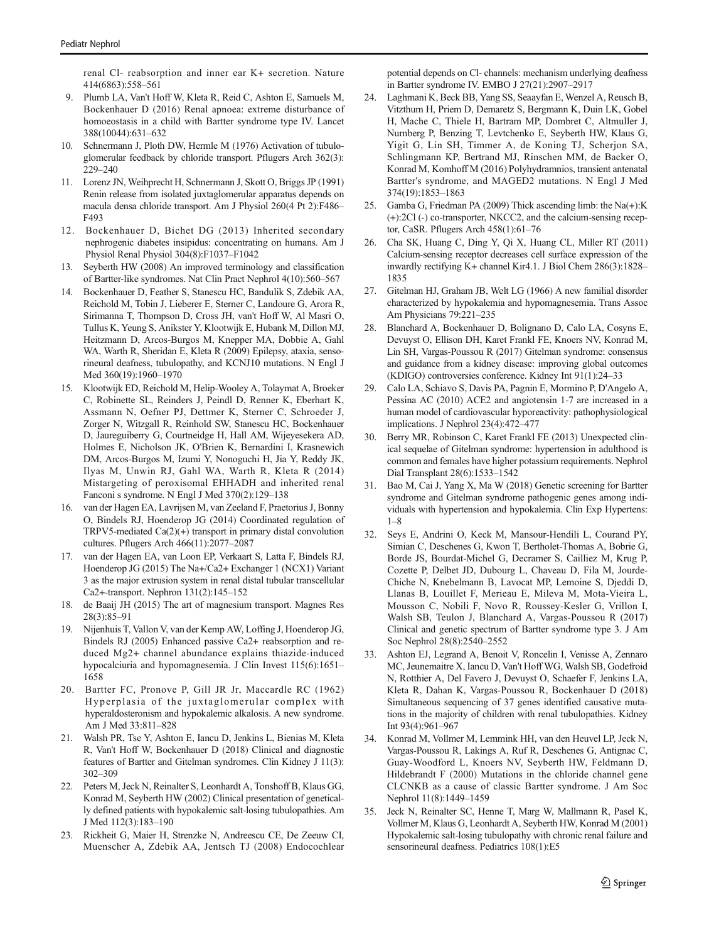<span id="page-8-0"></span>renal Cl- reabsorption and inner ear K+ secretion. Nature 414(6863):558–561

- 9. Plumb LA, Van't Hoff W, Kleta R, Reid C, Ashton E, Samuels M, Bockenhauer D (2016) Renal apnoea: extreme disturbance of homoeostasis in a child with Bartter syndrome type IV. Lancet 388(10044):631–632
- 10. Schnermann J, Ploth DW, Hermle M (1976) Activation of tubuloglomerular feedback by chloride transport. Pflugers Arch 362(3): 229–240
- 11. Lorenz JN, Weihprecht H, Schnermann J, Skott O, Briggs JP (1991) Renin release from isolated juxtaglomerular apparatus depends on macula densa chloride transport. Am J Physiol 260(4 Pt 2):F486– F493
- 12. Bockenhauer D, Bichet DG (2013) Inherited secondary nephrogenic diabetes insipidus: concentrating on humans. Am J Physiol Renal Physiol 304(8):F1037–F1042
- 13. Seyberth HW (2008) An improved terminology and classification of Bartter-like syndromes. Nat Clin Pract Nephrol 4(10):560–567
- 14. Bockenhauer D, Feather S, Stanescu HC, Bandulik S, Zdebik AA, Reichold M, Tobin J, Lieberer E, Sterner C, Landoure G, Arora R, Sirimanna T, Thompson D, Cross JH, van't Hoff W, Al Masri O, Tullus K, Yeung S, Anikster Y, Klootwijk E, Hubank M, Dillon MJ, Heitzmann D, Arcos-Burgos M, Knepper MA, Dobbie A, Gahl WA, Warth R, Sheridan E, Kleta R (2009) Epilepsy, ataxia, sensorineural deafness, tubulopathy, and KCNJ10 mutations. N Engl J Med 360(19):1960–1970
- 15. Klootwijk ED, Reichold M, Helip-Wooley A, Tolaymat A, Broeker C, Robinette SL, Reinders J, Peindl D, Renner K, Eberhart K, Assmann N, Oefner PJ, Dettmer K, Sterner C, Schroeder J, Zorger N, Witzgall R, Reinhold SW, Stanescu HC, Bockenhauer D, Jaureguiberry G, Courtneidge H, Hall AM, Wijeyesekera AD, Holmes E, Nicholson JK, O'Brien K, Bernardini I, Krasnewich DM, Arcos-Burgos M, Izumi Y, Nonoguchi H, Jia Y, Reddy JK, Ilyas M, Unwin RJ, Gahl WA, Warth R, Kleta R (2014) Mistargeting of peroxisomal EHHADH and inherited renal Fanconi s syndrome. N Engl J Med 370(2):129–138
- 16. van der Hagen EA, Lavrijsen M, van Zeeland F, Praetorius J, Bonny O, Bindels RJ, Hoenderop JG (2014) Coordinated regulation of TRPV5-mediated Ca(2)(+) transport in primary distal convolution cultures. Pflugers Arch 466(11):2077–2087
- 17. van der Hagen EA, van Loon EP, Verkaart S, Latta F, Bindels RJ, Hoenderop JG (2015) The Na+/Ca2+ Exchanger 1 (NCX1) Variant 3 as the major extrusion system in renal distal tubular transcellular Ca2+-transport. Nephron 131(2):145–152
- 18. de Baaij JH (2015) The art of magnesium transport. Magnes Res 28(3):85–91
- 19. Nijenhuis T, Vallon V, van der Kemp AW, Loffing J, Hoenderop JG, Bindels RJ (2005) Enhanced passive Ca2+ reabsorption and reduced Mg2+ channel abundance explains thiazide-induced hypocalciuria and hypomagnesemia. J Clin Invest  $115(6)$ :1651– 1658
- 20. Bartter FC, Pronove P, Gill JR Jr, Maccardle RC (1962) Hyperplasia of the juxtaglomerular complex with hyperaldosteronism and hypokalemic alkalosis. A new syndrome. Am J Med 33:811–828
- 21. Walsh PR, Tse Y, Ashton E, Iancu D, Jenkins L, Bienias M, Kleta R, Van't Hoff W, Bockenhauer D (2018) Clinical and diagnostic features of Bartter and Gitelman syndromes. Clin Kidney J 11(3): 302–309
- 22. Peters M, Jeck N, Reinalter S, Leonhardt A, Tonshoff B, Klaus GG, Konrad M, Seyberth HW (2002) Clinical presentation of genetically defined patients with hypokalemic salt-losing tubulopathies. Am J Med 112(3):183–190
- 23. Rickheit G, Maier H, Strenzke N, Andreescu CE, De Zeeuw CI, Muenscher A, Zdebik AA, Jentsch TJ (2008) Endocochlear

potential depends on Cl- channels: mechanism underlying deafness in Bartter syndrome IV. EMBO J 27(21):2907–2917

- 24. Laghmani K, Beck BB, Yang SS, Seaayfan E, Wenzel A, Reusch B, Vitzthum H, Priem D, Demaretz S, Bergmann K, Duin LK, Gobel H, Mache C, Thiele H, Bartram MP, Dombret C, Altmuller J, Nurnberg P, Benzing T, Levtchenko E, Seyberth HW, Klaus G, Yigit G, Lin SH, Timmer A, de Koning TJ, Scherjon SA, Schlingmann KP, Bertrand MJ, Rinschen MM, de Backer O, Konrad M, Komhoff M (2016) Polyhydramnios, transient antenatal Bartter's syndrome, and MAGED2 mutations. N Engl J Med 374(19):1853–1863
- 25. Gamba G, Friedman PA (2009) Thick ascending limb: the Na(+):K (+):2Cl (-) co-transporter, NKCC2, and the calcium-sensing receptor, CaSR. Pflugers Arch 458(1):61–76
- 26. Cha SK, Huang C, Ding Y, Qi X, Huang CL, Miller RT (2011) Calcium-sensing receptor decreases cell surface expression of the inwardly rectifying K+ channel Kir4.1. J Biol Chem 286(3):1828– 1835
- 27. Gitelman HJ, Graham JB, Welt LG (1966) A new familial disorder characterized by hypokalemia and hypomagnesemia. Trans Assoc Am Physicians 79:221–235
- 28. Blanchard A, Bockenhauer D, Bolignano D, Calo LA, Cosyns E, Devuyst O, Ellison DH, Karet Frankl FE, Knoers NV, Konrad M, Lin SH, Vargas-Poussou R (2017) Gitelman syndrome: consensus and guidance from a kidney disease: improving global outcomes (KDIGO) controversies conference. Kidney Int 91(1):24–33
- 29. Calo LA, Schiavo S, Davis PA, Pagnin E, Mormino P, D'Angelo A, Pessina AC (2010) ACE2 and angiotensin 1-7 are increased in a human model of cardiovascular hyporeactivity: pathophysiological implications. J Nephrol 23(4):472–477
- 30. Berry MR, Robinson C, Karet Frankl FE (2013) Unexpected clinical sequelae of Gitelman syndrome: hypertension in adulthood is common and females have higher potassium requirements. Nephrol Dial Transplant 28(6):1533–1542
- 31. Bao M, Cai J, Yang X, Ma W (2018) Genetic screening for Bartter syndrome and Gitelman syndrome pathogenic genes among individuals with hypertension and hypokalemia. Clin Exp Hypertens: 1–8
- 32. Seys E, Andrini O, Keck M, Mansour-Hendili L, Courand PY, Simian C, Deschenes G, Kwon T, Bertholet-Thomas A, Bobrie G, Borde JS, Bourdat-Michel G, Decramer S, Cailliez M, Krug P, Cozette P, Delbet JD, Dubourg L, Chaveau D, Fila M, Jourde-Chiche N, Knebelmann B, Lavocat MP, Lemoine S, Djeddi D, Llanas B, Louillet F, Merieau E, Mileva M, Mota-Vieira L, Mousson C, Nobili F, Novo R, Roussey-Kesler G, Vrillon I, Walsh SB, Teulon J, Blanchard A, Vargas-Poussou R (2017) Clinical and genetic spectrum of Bartter syndrome type 3. J Am Soc Nephrol 28(8):2540–2552
- 33. Ashton EJ, Legrand A, Benoit V, Roncelin I, Venisse A, Zennaro MC, Jeunemaitre X, Iancu D, Van't Hoff WG, Walsh SB, Godefroid N, Rotthier A, Del Favero J, Devuyst O, Schaefer F, Jenkins LA, Kleta R, Dahan K, Vargas-Poussou R, Bockenhauer D (2018) Simultaneous sequencing of 37 genes identified causative mutations in the majority of children with renal tubulopathies. Kidney Int 93(4):961–967
- 34. Konrad M, Vollmer M, Lemmink HH, van den Heuvel LP, Jeck N, Vargas-Poussou R, Lakings A, Ruf R, Deschenes G, Antignac C, Guay-Woodford L, Knoers NV, Seyberth HW, Feldmann D, Hildebrandt F (2000) Mutations in the chloride channel gene CLCNKB as a cause of classic Bartter syndrome. J Am Soc Nephrol 11(8):1449–1459
- 35. Jeck N, Reinalter SC, Henne T, Marg W, Mallmann R, Pasel K, Vollmer M, Klaus G, Leonhardt A, Seyberth HW, Konrad M (2001) Hypokalemic salt-losing tubulopathy with chronic renal failure and sensorineural deafness. Pediatrics 108(1):E5